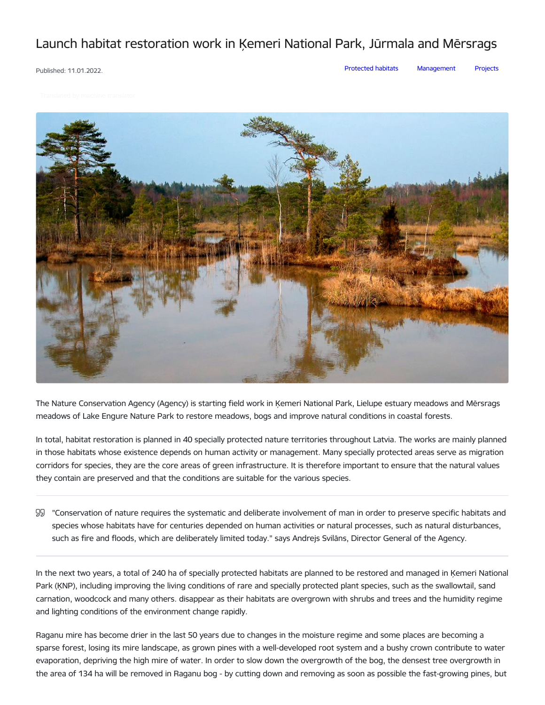## Launch habitat restoration work in Ķemeri National Park, Jūrmala and Mērsrags

Published: 11.01.2022.

[Protected](https://www.daba.gov.lv/en/articles?category%255B2932%255D=2932) habitats [Management](https://www.daba.gov.lv/en/articles?category%255B2935%255D=2935) [Projects](https://www.daba.gov.lv/en/articles?category%255B2938%255D=2938)



The Nature Conservation Agency (Agency) is starting field work in Ķemeri National Park, Lielupe estuary meadows and Mērsrags meadows of Lake Engure Nature Park to restore meadows, bogs and improve natural conditions in coastal forests.

In total, habitat restoration is planned in 40 specially protected nature territories throughout Latvia. The works are mainly planned in those habitats whose existence depends on human activity or management. Many specially protected areas serve as migration corridors for species, they are the core areas of green infrastructure. It is therefore important to ensure that the natural values they contain are preserved and that the conditions are suitable for the various species.

"Conservation of nature requires the systematic and deliberate involvement of man in order to preserve specific habitats and species whose habitats have for centuries depended on human activities or natural processes, such as natural disturbances, such as fire and floods, which are deliberately limited today." says Andrejs Svilāns, Director General of the Agency.

In the next two years, a total of 240 ha of specially protected habitats are planned to be restored and managed in Ķemeri National Park (ĶNP), including improving the living conditions of rare and specially protected plant species, such as the swallowtail, sand carnation, woodcock and many others. disappear as their habitats are overgrown with shrubs and trees and the humidity regime and lighting conditions of the environment change rapidly.

Raganu mire has become drier in the last 50 years due to changes in the moisture regime and some places are becoming a sparse forest, losing its mire landscape, as grown pines with a well-developed root system and a bushy crown contribute to water evaporation, depriving the high mire of water. In order to slow down the overgrowth of the bog, the densest tree overgrowth in the area of 134 ha will be removed in Raganu bog - by cutting down and removing as soon as possible the fast-growing pines, but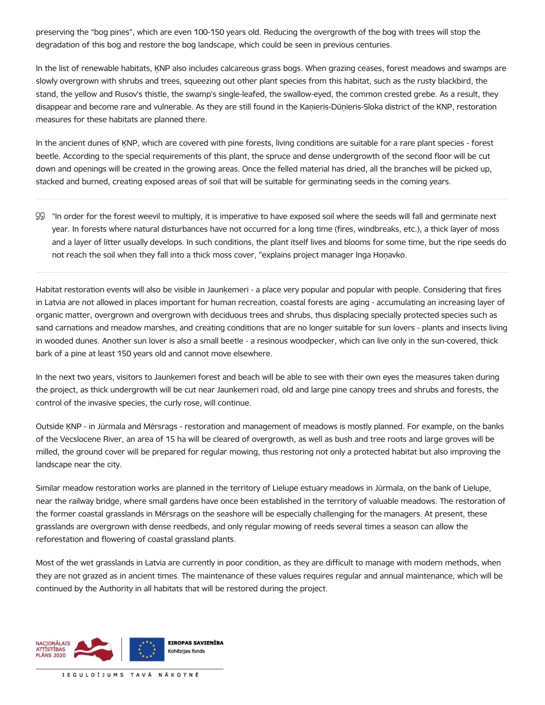preserving the "bog pines", which are even 100-150 years old. Reducing the overgrowth of the bog with trees will stop the degradation of this bog and restore the bog landscape, which could be seen in previous centuries.

In the list of renewable habitats, ĶNP also includes calcareous grass bogs. When grazing ceases, forest meadows and swamps are slowly overgrown with shrubs and trees, squeezing out other plant species from this habitat, such as the rusty blackbird, the stand, the yellow and Rusov's thistle, the swamp's single-leafed, the swallow-eyed, the common crested grebe. As a result, they disappear and become rare and vulnerable. As they are still found in the Kaņieris-Dūņieris-Sloka district of the KNP, restoration measures for these habitats are planned there.

In the ancient dunes of ĶNP, which are covered with pine forests, living conditions are suitable for a rare plant species - forest beetle. According to the special requirements of this plant, the spruce and dense undergrowth of the second floor will be cut down and openings will be created in the growing areas. Once the felled material has dried, all the branches will be picked up, stacked and burned, creating exposed areas of soil that will be suitable for germinating seeds in the coming years.

"In order for the forest weevil to multiply, it is imperative to have exposed soil where the seeds will fall and germinate next year. In forests where natural disturbances have not occurred for a long time (fires, windbreaks, etc.), a thick layer of moss and a layer of litter usually develops. In such conditions, the plant itself lives and blooms for some time, but the ripe seeds do not reach the soil when they fall into a thick moss cover, "explains project manager Inga Hoņavko.

Habitat restoration events will also be visible in Jaunķemeri - a place very popular and popular with people. Considering that fires in Latvia are not allowed in places important for human recreation, coastal forests are aging - accumulating an increasing layer of organic matter, overgrown and overgrown with deciduous trees and shrubs, thus displacing specially protected species such as sand carnations and meadow marshes, and creating conditions that are no longer suitable for sun lovers - plants and insects living in wooded dunes. Another sun lover is also a small beetle - a resinous woodpecker, which can live only in the sun-covered, thick bark of a pine at least 150 years old and cannot move elsewhere.

In the next two years, visitors to Jaunķemeri forest and beach will be able to see with their own eyes the measures taken during the project, as thick undergrowth will be cut near Jaunķemeri road, old and large pine canopy trees and shrubs and forests, the control of the invasive species, the curly rose, will continue.

Outside ĶNP - in Jūrmala and Mērsrags - restoration and management of meadows is mostly planned. For example, on the banks of the Vecslocene River, an area of 15 ha will be cleared of overgrowth, as well as bush and tree roots and large groves will be milled, the ground cover will be prepared for regular mowing, thus restoring not only a protected habitat but also improving the landscape near the city.

Similar meadow restoration works are planned in the territory of Lielupe estuary meadows in Jūrmala, on the bank of Lielupe, near the railway bridge, where small gardens have once been established in the territory of valuable meadows. The restoration of the former coastal grasslands in Mērsrags on the seashore will be especially challenging for the managers. At present, these grasslands are overgrown with dense reedbeds, and only regular mowing of reeds several times a season can allow the reforestation and flowering of coastal grassland plants.

Most of the wet grasslands in Latvia are currently in poor condition, as they are difficult to manage with modern methods, when they are not grazed as in ancient times. The maintenance of these values requires regular and annual maintenance, which will be continued by the Authority in all habitats that will be restored during the project.